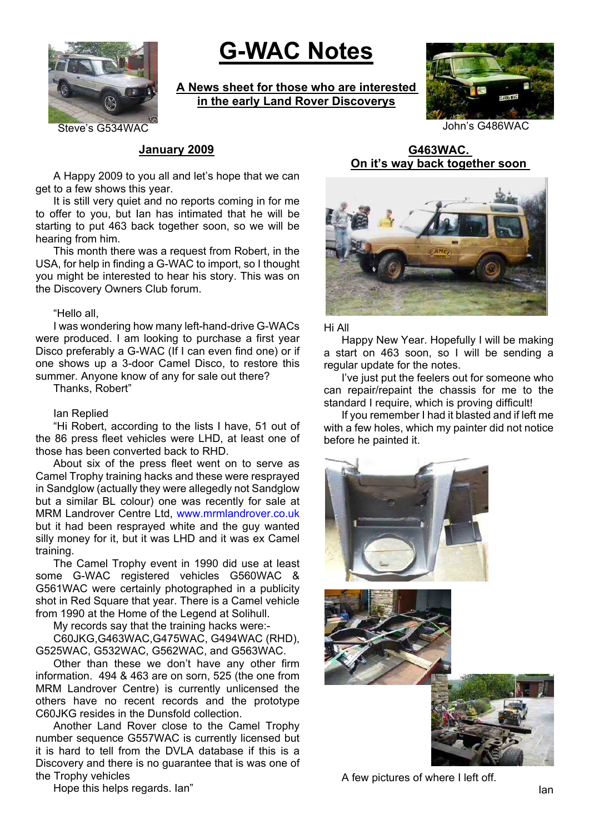

# **G-WAC Notes**

**A News sheet for those who are interested in the early Land Rover Discoverys**



### **January 2009**

A Happy 2009 to you all and let's hope that we can get to a few shows this year.

It is still very quiet and no reports coming in for me to offer to you, but Ian has intimated that he will be starting to put 463 back together soon, so we will be hearing from him.

This month there was a request from Robert, in the USA, for help in finding a G-WAC to import, so I thought you might be interested to hear his story. This was on the Discovery Owners Club forum.

#### "Hello all,

I was wondering how many left-hand-drive G-WACs were produced. I am looking to purchase a first year Disco preferably a G-WAC (If I can even find one) or if one shows up a 3-door Camel Disco, to restore this summer. Anyone know of any for sale out there?

Thanks, Robert"

#### Ian Replied

"Hi Robert, according to the lists I have, 51 out of the 86 press fleet vehicles were LHD, at least one of those has been converted back to RHD.

About six of the press fleet went on to serve as Camel Trophy training hacks and these were resprayed in Sandglow (actually they were allegedly not Sandglow but a similar BL colour) one was recently for sale at MRM Landrover Centre Ltd, www.mrmlandrover.co.uk but it had been resprayed white and the guy wanted silly money for it, but it was LHD and it was ex Camel training.

The Camel Trophy event in 1990 did use at least some G-WAC registered vehicles G560WAC & G561WAC were certainly photographed in a publicity shot in Red Square that year. There is a Camel vehicle from 1990 at the Home of the Legend at Solihull.

My records say that the training hacks were:-

C60JKG,G463WAC,G475WAC, G494WAC (RHD), G525WAC, G532WAC, G562WAC, and G563WAC.

Other than these we don't have any other firm information. 494 & 463 are on sorn, 525 (the one from MRM Landrover Centre) is currently unlicensed the others have no recent records and the prototype C60JKG resides in the Dunsfold collection.

Another Land Rover close to the Camel Trophy number sequence G557WAC is currently licensed but it is hard to tell from the DVLA database if this is a Discovery and there is no guarantee that is was one of the Trophy vehicles

**G463WAC. On it's way back together soon** 



Hi All

Happy New Year. Hopefully I will be making a start on 463 soon, so I will be sending a regular update for the notes.

I've just put the feelers out for someone who can repair/repaint the chassis for me to the standard I require, which is proving difficult!

If you remember I had it blasted and if left me with a few holes, which my painter did not notice before he painted it.



A few pictures of where I left off.

Hope this helps regards. Ian"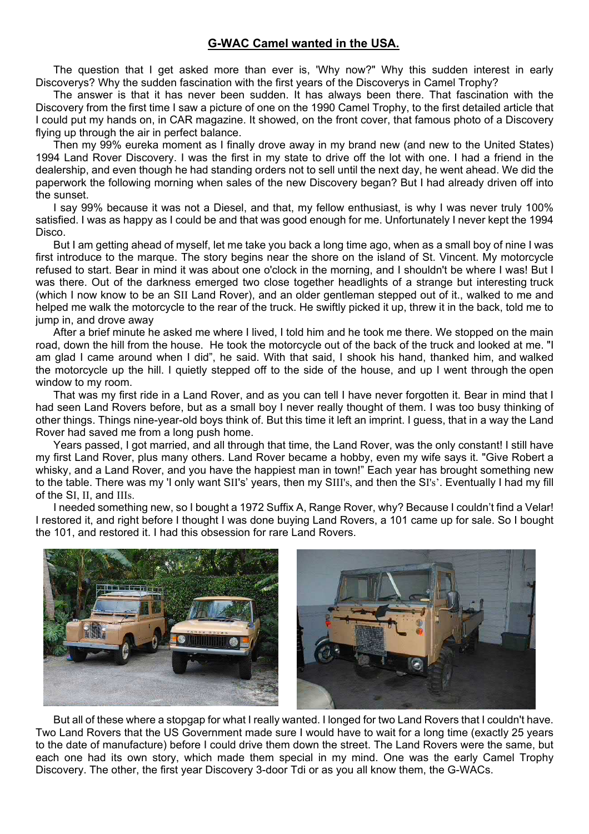## **G-WAC Camel wanted in the USA.**

The question that I get asked more than ever is, 'Why now?" Why this sudden interest in early Discoverys? Why the sudden fascination with the first years of the Discoverys in Camel Trophy?

The answer is that it has never been sudden. It has always been there. That fascination with the Discovery from the first time I saw a picture of one on the 1990 Camel Trophy, to the first detailed article that I could put my hands on, in CAR magazine. It showed, on the front cover, that famous photo of a Discovery flying up through the air in perfect balance.

Then my 99% eureka moment as I finally drove away in my brand new (and new to the United States) 1994 Land Rover Discovery. I was the first in my state to drive off the lot with one. I had a friend in the dealership, and even though he had standing orders not to sell until the next day, he went ahead. We did the paperwork the following morning when sales of the new Discovery began? But I had already driven off into the sunset.

I say 99% because it was not a Diesel, and that, my fellow enthusiast, is why I was never truly 100% satisfied. I was as happy as I could be and that was good enough for me. Unfortunately I never kept the 1994 Disco.

But I am getting ahead of myself, let me take you back a long time ago, when as a small boy of nine I was first introduce to the marque. The story begins near the shore on the island of St. Vincent. My motorcycle refused to start. Bear in mind it was about one o'clock in the morning, and I shouldn't be where I was! But I was there. Out of the darkness emerged two close together headlights of a strange but interesting truck (which I now know to be an SII Land Rover), and an older gentleman stepped out of it., walked to me and helped me walk the motorcycle to the rear of the truck. He swiftly picked it up, threw it in the back, told me to jump in, and drove away

After a brief minute he asked me where I lived, I told him and he took me there. We stopped on the main road, down the hill from the house. He took the motorcycle out of the back of the truck and looked at me. "I am glad I came around when I did", he said. With that said, I shook his hand, thanked him, and walked the motorcycle up the hill. I quietly stepped off to the side of the house, and up I went through the open window to my room.

That was my first ride in a Land Rover, and as you can tell I have never forgotten it. Bear in mind that I had seen Land Rovers before, but as a small boy I never really thought of them. I was too busy thinking of other things. Things nine-year-old boys think of. But this time it left an imprint. I guess, that in a way the Land Rover had saved me from a long push home.

Years passed, I got married, and all through that time, the Land Rover, was the only constant! I still have my first Land Rover, plus many others. Land Rover became a hobby, even my wife says it. "Give Robert a whisky, and a Land Rover, and you have the happiest man in town!" Each year has brought something new to the table. There was my 'I only want SII's' years, then my SIII's, and then the SI's'. Eventually I had my fill of the SI, II, and IIIs.

I needed something new, so I bought a 1972 Suffix A, Range Rover, why? Because I couldn't find a Velar! I restored it, and right before I thought I was done buying Land Rovers, a 101 came up for sale. So I bought the 101, and restored it. I had this obsession for rare Land Rovers.



But all of these where a stopgap for what I really wanted. I longed for two Land Rovers that I couldn't have. Two Land Rovers that the US Government made sure I would have to wait for a long time (exactly 25 years to the date of manufacture) before I could drive them down the street. The Land Rovers were the same, but each one had its own story, which made them special in my mind. One was the early Camel Trophy Discovery. The other, the first year Discovery 3-door Tdi or as you all know them, the G-WACs.